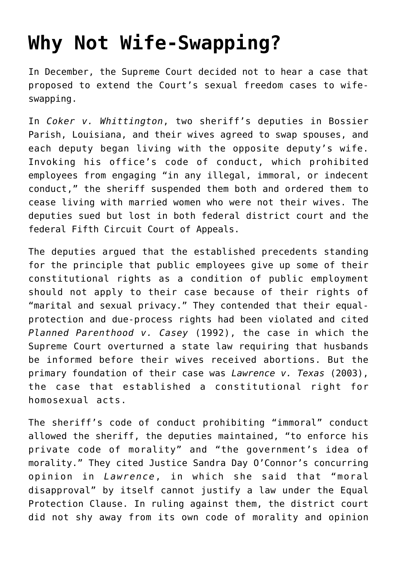## **[Why Not Wife-Swapping?](https://intellectualtakeout.org/2018/03/why-not-wife-swapping/)**

In December, the Supreme Court decided not to hear a case that proposed to extend the Court's sexual freedom cases to wifeswapping.

In *Coker v. Whittington*, two sheriff's deputies in Bossier Parish, Louisiana, and their wives agreed to swap spouses, and each deputy began living with the opposite deputy's wife. Invoking his office's code of conduct, which prohibited employees from engaging "in any illegal, immoral, or indecent conduct," the sheriff suspended them both and ordered them to cease living with married women who were not their wives. The deputies sued but lost in both federal district court and the federal Fifth Circuit Court of Appeals.

The deputies argued that the established precedents standing for the principle that public employees give up some of their constitutional rights as a condition of public employment should not apply to their case because of their rights of "marital and sexual privacy." They contended that their equalprotection and due-process rights had been violated and cited *Planned Parenthood v. Casey* (1992), the case in which the Supreme Court overturned a state law requiring that husbands be informed before their wives received abortions. But the primary foundation of their case was *Lawrence v. Texas* (2003), the case that established a constitutional right for homosexual acts.

The sheriff's code of conduct prohibiting "immoral" conduct allowed the sheriff, the deputies maintained, "to enforce his private code of morality" and "the government's idea of morality." They cited Justice Sandra Day O'Connor's concurring opinion in *Lawrence*, in which she said that "moral disapproval" by itself cannot justify a law under the Equal Protection Clause. In ruling against them, the district court did not shy away from its own code of morality and opinion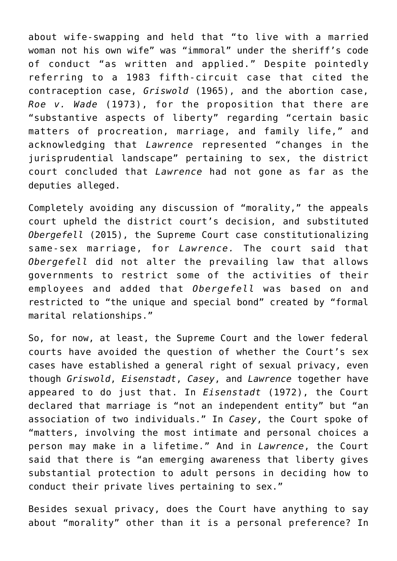about wife-swapping and held that "to live with a married woman not his own wife" was "immoral" under the sheriff's code of conduct "as written and applied." Despite pointedly referring to a 1983 fifth-circuit case that cited the contraception case, *Griswold* (1965), and the abortion case, *Roe v. Wade* (1973), for the proposition that there are "substantive aspects of liberty" regarding "certain basic matters of procreation, marriage, and family life," and acknowledging that *Lawrence* represented "changes in the jurisprudential landscape" pertaining to sex, the district court concluded that *Lawrence* had not gone as far as the deputies alleged.

Completely avoiding any discussion of "morality," the appeals court upheld the district court's decision, and substituted *Obergefell* (2015), the Supreme Court case constitutionalizing same-sex marriage, for *Lawrence.* The court said that *Obergefell* did not alter the prevailing law that allows governments to restrict some of the activities of their employees and added that *Obergefell* was based on and restricted to "the unique and special bond" created by "formal marital relationships."

So, for now, at least, the Supreme Court and the lower federal courts have avoided the question of whether the Court's sex cases have established a general right of sexual privacy, even though *Griswold*, *Eisenstadt*, *Casey*, and *Lawrence* together have appeared to do just that. In *Eisenstadt* (1972), the Court declared that marriage is "not an independent entity" but "an association of two individuals." In *Casey*, the Court spoke of "matters, involving the most intimate and personal choices a person may make in a lifetime." And in *Lawrence*, the Court said that there is "an emerging awareness that liberty gives substantial protection to adult persons in deciding how to conduct their private lives pertaining to sex."

Besides sexual privacy, does the Court have anything to say about "morality" other than it is a personal preference? In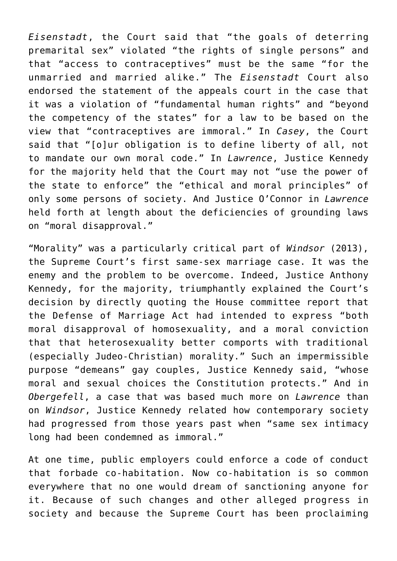*Eisenstadt*, the Court said that "the goals of deterring premarital sex" violated "the rights of single persons" and that "access to contraceptives" must be the same "for the unmarried and married alike." The *Eisenstadt* Court also endorsed the statement of the appeals court in the case that it was a violation of "fundamental human rights" and "beyond the competency of the states" for a law to be based on the view that "contraceptives are immoral." In *Casey*, the Court said that "[o]ur obligation is to define liberty of all, not to mandate our own moral code." In *Lawrence*, Justice Kennedy for the majority held that the Court may not "use the power of the state to enforce" the "ethical and moral principles" of only some persons of society. And Justice O'Connor in *Lawrence* held forth at length about the deficiencies of grounding laws on "moral disapproval."

"Morality" was a particularly critical part of *Windsor* (2013), the Supreme Court's first same-sex marriage case. It was the enemy and the problem to be overcome. Indeed, Justice Anthony Kennedy, for the majority, triumphantly explained the Court's decision by directly quoting the House committee report that the Defense of Marriage Act had intended to express "both moral disapproval of homosexuality, and a moral conviction that that heterosexuality better comports with traditional (especially Judeo-Christian) morality." Such an impermissible purpose "demeans" gay couples, Justice Kennedy said, "whose moral and sexual choices the Constitution protects." And in *Obergefell*, a case that was based much more on *Lawrence* than on *Windsor*, Justice Kennedy related how contemporary society had progressed from those years past when "same sex intimacy long had been condemned as immoral."

At one time, public employers could enforce a code of conduct that forbade co-habitation. Now co-habitation is so common everywhere that no one would dream of sanctioning anyone for it. Because of such changes and other alleged progress in society and because the Supreme Court has been proclaiming